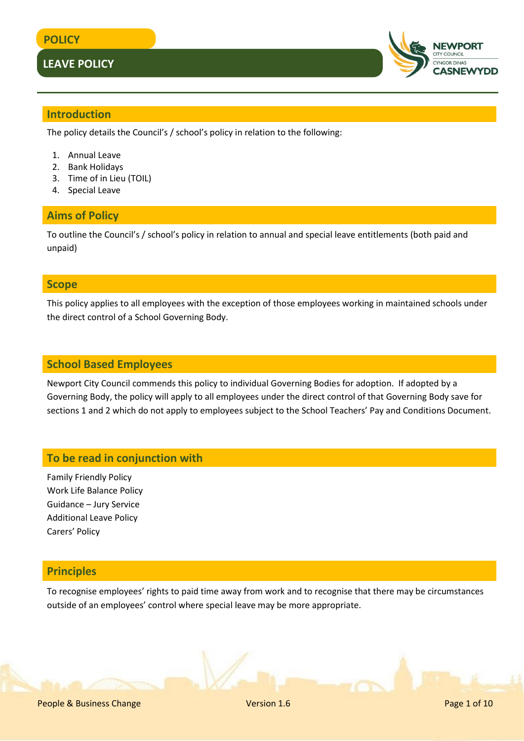

#### **Introduction**

The policy details the Council's / school's policy in relation to the following:

- 1. Annual Leave
- 2. Bank Holidays
- 3. Time of in Lieu (TOIL)
- 4. Special Leave

#### **Aims of Policy**

To outline the Council's / school's policy in relation to annual and special leave entitlements (both paid and unpaid)

#### **Scope**

This policy applies to all employees with the exception of those employees working in maintained schools under the direct control of a School Governing Body.

#### **School Based Employees**

Newport City Council commends this policy to individual Governing Bodies for adoption. If adopted by a Governing Body, the policy will apply to all employees under the direct control of that Governing Body save for sections 1 and 2 which do not apply to employees subject to the School Teachers' Pay and Conditions Document.

#### **To be read in conjunction with**

Family Friendly Policy Work Life Balance Policy Guidance – Jury Service Additional Leave Policy Carers' Policy

#### **Principles**

To recognise employees' rights to paid time away from work and to recognise that there may be circumstances outside of an employees' control where special leave may be more appropriate.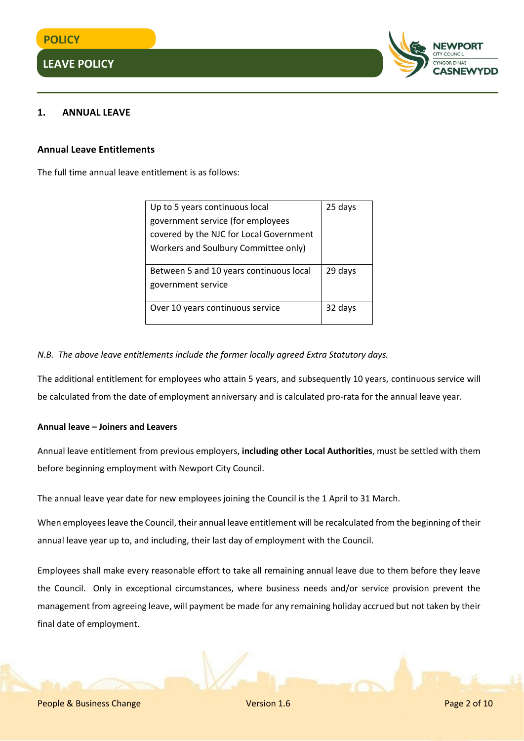

#### **1. ANNUAL LEAVE**

#### **Annual Leave Entitlements**

The full time annual leave entitlement is as follows:

| Up to 5 years continuous local          | 25 days |  |  |  |
|-----------------------------------------|---------|--|--|--|
| government service (for employees       |         |  |  |  |
| covered by the NJC for Local Government |         |  |  |  |
| Workers and Soulbury Committee only)    |         |  |  |  |
|                                         |         |  |  |  |
| Between 5 and 10 years continuous local | 29 days |  |  |  |
| government service                      |         |  |  |  |
|                                         |         |  |  |  |
| Over 10 years continuous service        | 32 days |  |  |  |
|                                         |         |  |  |  |

#### *N.B. The above leave entitlements include the former locally agreed Extra Statutory days.*

The additional entitlement for employees who attain 5 years, and subsequently 10 years, continuous service will be calculated from the date of employment anniversary and is calculated pro-rata for the annual leave year.

#### **Annual leave – Joiners and Leavers**

Annual leave entitlement from previous employers, **including other Local Authorities**, must be settled with them before beginning employment with Newport City Council.

The annual leave year date for new employees joining the Council is the 1 April to 31 March.

When employees leave the Council, their annual leave entitlement will be recalculated from the beginning of their annual leave year up to, and including, their last day of employment with the Council.

Employees shall make every reasonable effort to take all remaining annual leave due to them before they leave the Council. Only in exceptional circumstances, where business needs and/or service provision prevent the management from agreeing leave, will payment be made for any remaining holiday accrued but not taken by their final date of employment.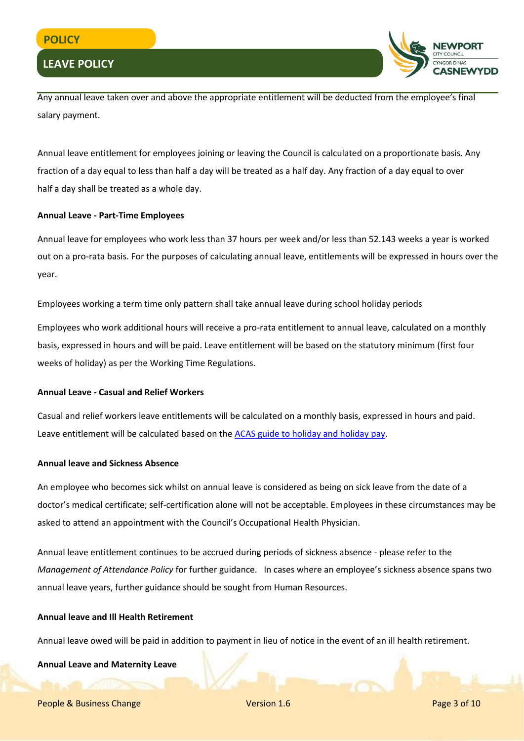

Any annual leave taken over and above the appropriate entitlement will be deducted from the employee's final salary payment.

Annual leave entitlement for employees joining or leaving the Council is calculated on a proportionate basis. Any fraction of a day equal to less than half a day will be treated as a half day. Any fraction of a day equal to over half a day shall be treated as a whole day.

#### **Annual Leave - Part-Time Employees**

Annual leave for employees who work less than 37 hours per week and/or less than 52.143 weeks a year is worked out on a pro-rata basis. For the purposes of calculating annual leave, entitlements will be expressed in hours over the year.

Employees working a term time only pattern shall take annual leave during school holiday periods

Employees who work additional hours will receive a pro-rata entitlement to annual leave, calculated on a monthly basis, expressed in hours and will be paid. Leave entitlement will be based on the statutory minimum (first four weeks of holiday) as per the Working Time Regulations.

#### **Annual Leave - Casual and Relief Workers**

Casual and relief workers leave entitlements will be calculated on a monthly basis, expressed in hours and paid. Leave entitlement will be calculated based on th[e ACAS guide to holiday and holiday pay.](http://m.acas.org.uk/media/pdf/r/c/Acas-guide-Holidays-and-holiday-pay.pdf)

#### **Annual leave and Sickness Absence**

An employee who becomes sick whilst on annual leave is considered as being on sick leave from the date of a doctor's medical certificate; self-certification alone will not be acceptable. Employees in these circumstances may be asked to attend an appointment with the Council's Occupational Health Physician.

Annual leave entitlement continues to be accrued during periods of sickness absence - please refer to the *Management of Attendance Policy* for further guidance. In cases where an employee's sickness absence spans two annual leave years, further guidance should be sought from Human Resources.

#### **Annual leave and Ill Health Retirement**

Annual leave owed will be paid in addition to payment in lieu of notice in the event of an ill health retirement.

#### **Annual Leave and Maternity Leave**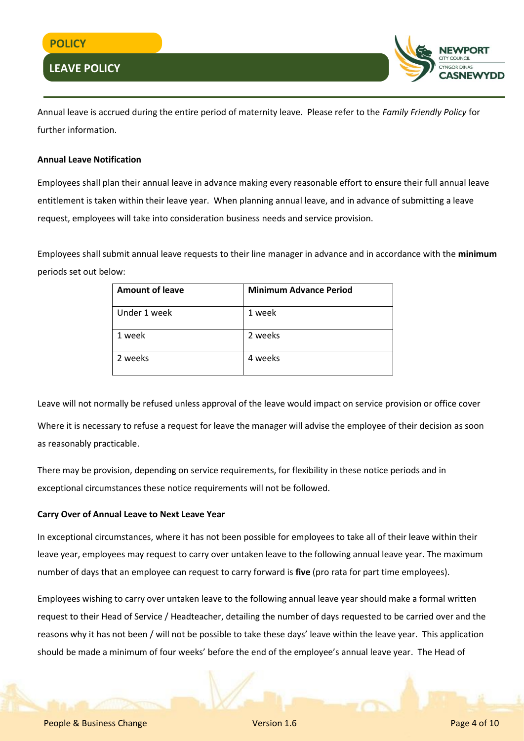

Annual leave is accrued during the entire period of maternity leave. Please refer to the *Family Friendly Policy* for further information.

#### **Annual Leave Notification**

Employees shall plan their annual leave in advance making every reasonable effort to ensure their full annual leave entitlement is taken within their leave year. When planning annual leave, and in advance of submitting a leave request, employees will take into consideration business needs and service provision.

Employees shall submit annual leave requests to their line manager in advance and in accordance with the **minimum** periods set out below:

| <b>Amount of leave</b> | <b>Minimum Advance Period</b> |
|------------------------|-------------------------------|
| Under 1 week           | 1 week                        |
| 1 week                 | 2 weeks                       |
| 2 weeks                | 4 weeks                       |

Leave will not normally be refused unless approval of the leave would impact on service provision or office cover Where it is necessary to refuse a request for leave the manager will advise the employee of their decision as soon as reasonably practicable.

There may be provision, depending on service requirements, for flexibility in these notice periods and in exceptional circumstances these notice requirements will not be followed.

#### **Carry Over of Annual Leave to Next Leave Year**

In exceptional circumstances, where it has not been possible for employees to take all of their leave within their leave year, employees may request to carry over untaken leave to the following annual leave year. The maximum number of days that an employee can request to carry forward is **five** (pro rata for part time employees).

Employees wishing to carry over untaken leave to the following annual leave year should make a formal written request to their Head of Service / Headteacher, detailing the number of days requested to be carried over and the reasons why it has not been / will not be possible to take these days' leave within the leave year. This application should be made a minimum of four weeks' before the end of the employee's annual leave year. The Head of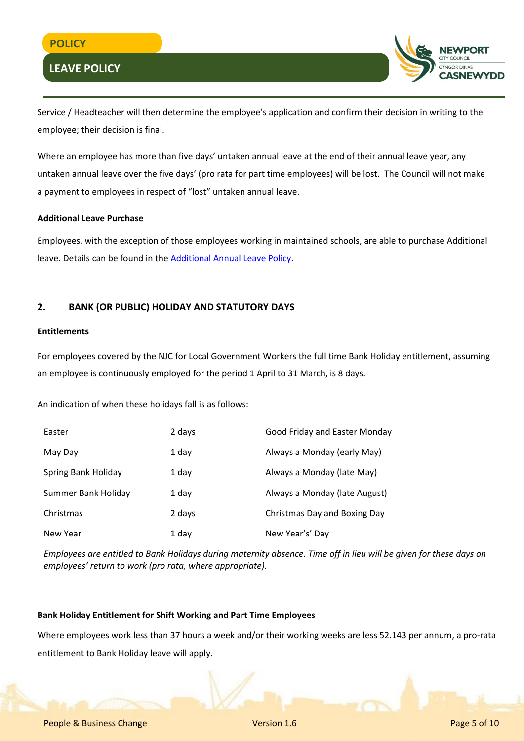

Service / Headteacher will then determine the employee's application and confirm their decision in writing to the employee; their decision is final.

Where an employee has more than five days' untaken annual leave at the end of their annual leave year, any untaken annual leave over the five days' (pro rata for part time employees) will be lost. The Council will not make a payment to employees in respect of "lost" untaken annual leave.

#### **Additional Leave Purchase**

Employees, with the exception of those employees working in maintained schools, are able to purchase Additional leave. Details can be found in th[e Additional Annual Leave Policy.](http://www.newport.gov.uk/documents/Policies/HR-Additional-Annual-Leave-Policy-Nov-2016-Final-v2.pdf)

#### **2. BANK (OR PUBLIC) HOLIDAY AND STATUTORY DAYS**

#### **Entitlements**

For employees covered by the NJC for Local Government Workers the full time Bank Holiday entitlement, assuming an employee is continuously employed for the period 1 April to 31 March, is 8 days.

An indication of when these holidays fall is as follows:

| Easter              | 2 days | Good Friday and Easter Monday |
|---------------------|--------|-------------------------------|
| May Day             | 1 day  | Always a Monday (early May)   |
| Spring Bank Holiday | 1 day  | Always a Monday (late May)    |
| Summer Bank Holiday | 1 day  | Always a Monday (late August) |
| Christmas           | 2 days | Christmas Day and Boxing Day  |
| New Year            | 1 day  | New Year's' Day               |

*Employees are entitled to Bank Holidays during maternity absence. Time off in lieu will be given for these days on employees' return to work (pro rata, where appropriate).*

#### **Bank Holiday Entitlement for Shift Working and Part Time Employees**

Where employees work less than 37 hours a week and/or their working weeks are less 52.143 per annum, a pro-rata entitlement to Bank Holiday leave will apply.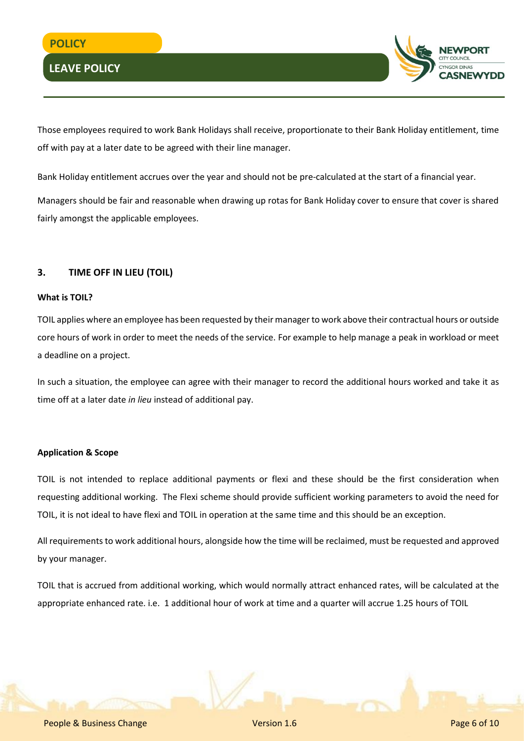

Those employees required to work Bank Holidays shall receive, proportionate to their Bank Holiday entitlement, time off with pay at a later date to be agreed with their line manager.

Bank Holiday entitlement accrues over the year and should not be pre-calculated at the start of a financial year.

Managers should be fair and reasonable when drawing up rotas for Bank Holiday cover to ensure that cover is shared fairly amongst the applicable employees.

#### **3. TIME OFF IN LIEU (TOIL)**

#### **What is TOIL?**

TOIL applies where an employee has been requested by their manager to work above their contractual hours or outside core hours of work in order to meet the needs of the service. For example to help manage a peak in workload or meet a deadline on a project.

In such a situation, the employee can agree with their manager to record the additional hours worked and take it as time off at a later date *in lieu* instead of additional pay.

#### **Application & Scope**

TOIL is not intended to replace additional payments or flexi and these should be the first consideration when requesting additional working. The Flexi scheme should provide sufficient working parameters to avoid the need for TOIL, it is not ideal to have flexi and TOIL in operation at the same time and this should be an exception.

All requirements to work additional hours, alongside how the time will be reclaimed, must be requested and approved by your manager.

TOIL that is accrued from additional working, which would normally attract enhanced rates, will be calculated at the appropriate enhanced rate. i.e. 1 additional hour of work at time and a quarter will accrue 1.25 hours of TOIL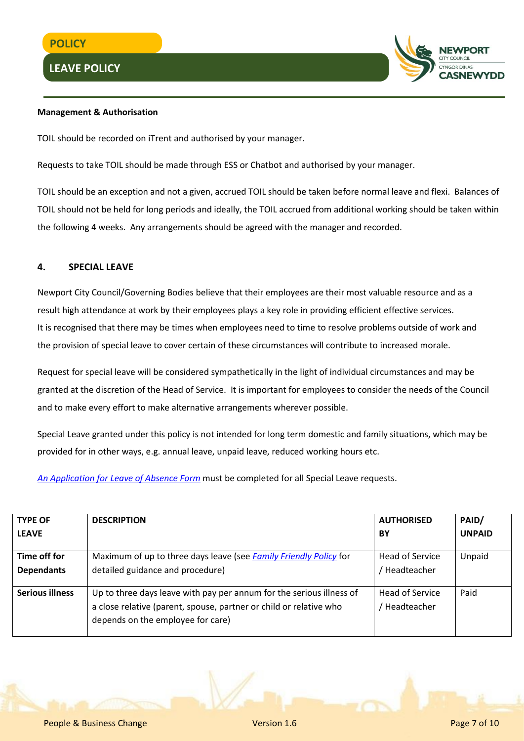

#### **Management & Authorisation**

TOIL should be recorded on iTrent and authorised by your manager.

Requests to take TOIL should be made through ESS or Chatbot and authorised by your manager.

TOIL should be an exception and not a given, accrued TOIL should be taken before normal leave and flexi. Balances of TOIL should not be held for long periods and ideally, the TOIL accrued from additional working should be taken within the following 4 weeks. Any arrangements should be agreed with the manager and recorded.

#### **4. SPECIAL LEAVE**

Newport City Council/Governing Bodies believe that their employees are their most valuable resource and as a result high attendance at work by their employees plays a key role in providing efficient effective services. It is recognised that there may be times when employees need to time to resolve problems outside of work and the provision of special leave to cover certain of these circumstances will contribute to increased morale.

Request for special leave will be considered sympathetically in the light of individual circumstances and may be granted at the discretion of the Head of Service. It is important for employees to consider the needs of the Council and to make every effort to make alternative arrangements wherever possible.

Special Leave granted under this policy is not intended for long term domestic and family situations, which may be provided for in other ways, e.g. annual leave, unpaid leave, reduced working hours etc.

*[An Application for Leave of Absence Form](http://www.newport.gov.uk/documents/Forms/HR-Application-for-Leave-of-Absence.docx)* must be completed for all Special Leave requests.

| <b>TYPE OF</b>         | <b>DESCRIPTION</b>                                                                                                                                                              | <b>AUTHORISED</b>              | PAID/         |
|------------------------|---------------------------------------------------------------------------------------------------------------------------------------------------------------------------------|--------------------------------|---------------|
| <b>LEAVE</b>           |                                                                                                                                                                                 | BY                             | <b>UNPAID</b> |
| Time off for           | Maximum of up to three days leave (see Family Friendly Policy for                                                                                                               | Head of Service                | Unpaid        |
| <b>Dependants</b>      | detailed guidance and procedure)                                                                                                                                                | Headteacher                    |               |
| <b>Serious illness</b> | Up to three days leave with pay per annum for the serious illness of<br>a close relative (parent, spouse, partner or child or relative who<br>depends on the employee for care) | Head of Service<br>Headteacher | Paid          |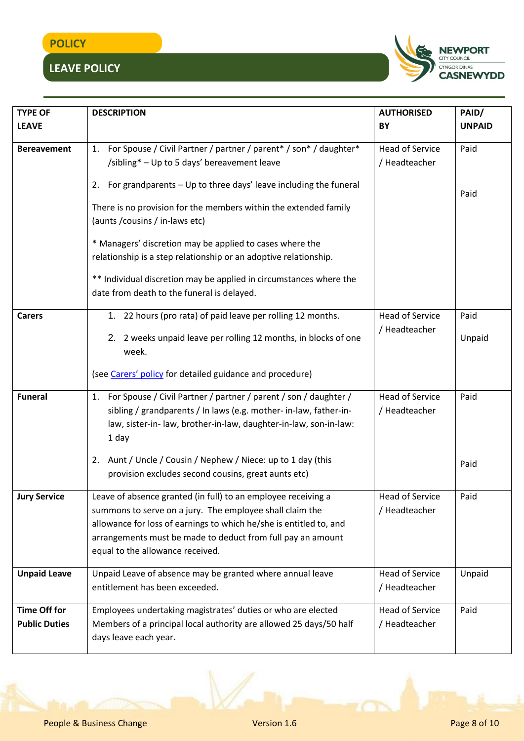# **POLICY**

# **LEAVE POLICY**



| <b>TYPE OF</b>       | <b>DESCRIPTION</b>                                                      | <b>AUTHORISED</b>      | PAID/         |
|----------------------|-------------------------------------------------------------------------|------------------------|---------------|
| <b>LEAVE</b>         |                                                                         | BY                     | <b>UNPAID</b> |
|                      |                                                                         |                        |               |
| <b>Bereavement</b>   | For Spouse / Civil Partner / partner / parent* / son* / daughter*<br>1. | <b>Head of Service</b> | Paid          |
|                      | /sibling* - Up to 5 days' bereavement leave                             | / Headteacher          |               |
|                      | For grandparents - Up to three days' leave including the funeral<br>2.  |                        |               |
|                      |                                                                         |                        | Paid          |
|                      | There is no provision for the members within the extended family        |                        |               |
|                      | (aunts / cousins / in-laws etc)                                         |                        |               |
|                      | * Managers' discretion may be applied to cases where the                |                        |               |
|                      | relationship is a step relationship or an adoptive relationship.        |                        |               |
|                      | ** Individual discretion may be applied in circumstances where the      |                        |               |
|                      | date from death to the funeral is delayed.                              |                        |               |
|                      |                                                                         |                        |               |
| <b>Carers</b>        | 1. 22 hours (pro rata) of paid leave per rolling 12 months.             | <b>Head of Service</b> | Paid          |
|                      | 2. 2 weeks unpaid leave per rolling 12 months, in blocks of one         | / Headteacher          | Unpaid        |
|                      | week.                                                                   |                        |               |
|                      |                                                                         |                        |               |
|                      | (see Carers' policy for detailed guidance and procedure)                |                        |               |
| <b>Funeral</b>       | 1. For Spouse / Civil Partner / partner / parent / son / daughter /     | <b>Head of Service</b> | Paid          |
|                      | sibling / grandparents / In laws (e.g. mother- in-law, father-in-       | / Headteacher          |               |
|                      | law, sister-in- law, brother-in-law, daughter-in-law, son-in-law:       |                        |               |
|                      | 1 day                                                                   |                        |               |
|                      | Aunt / Uncle / Cousin / Nephew / Niece: up to 1 day (this<br>2.         |                        |               |
|                      | provision excludes second cousins, great aunts etc)                     |                        | Paid          |
|                      |                                                                         |                        |               |
| <b>Jury Service</b>  | Leave of absence granted (in full) to an employee receiving a           | <b>Head of Service</b> | Paid          |
|                      | summons to serve on a jury. The employee shall claim the                | / Headteacher          |               |
|                      | allowance for loss of earnings to which he/she is entitled to, and      |                        |               |
|                      | arrangements must be made to deduct from full pay an amount             |                        |               |
|                      | equal to the allowance received.                                        |                        |               |
| <b>Unpaid Leave</b>  | Unpaid Leave of absence may be granted where annual leave               | <b>Head of Service</b> | Unpaid        |
|                      | entitlement has been exceeded.                                          | / Headteacher          |               |
|                      |                                                                         |                        |               |
| <b>Time Off for</b>  | Employees undertaking magistrates' duties or who are elected            | <b>Head of Service</b> | Paid          |
| <b>Public Duties</b> | Members of a principal local authority are allowed 25 days/50 half      | / Headteacher          |               |
|                      | days leave each year.                                                   |                        |               |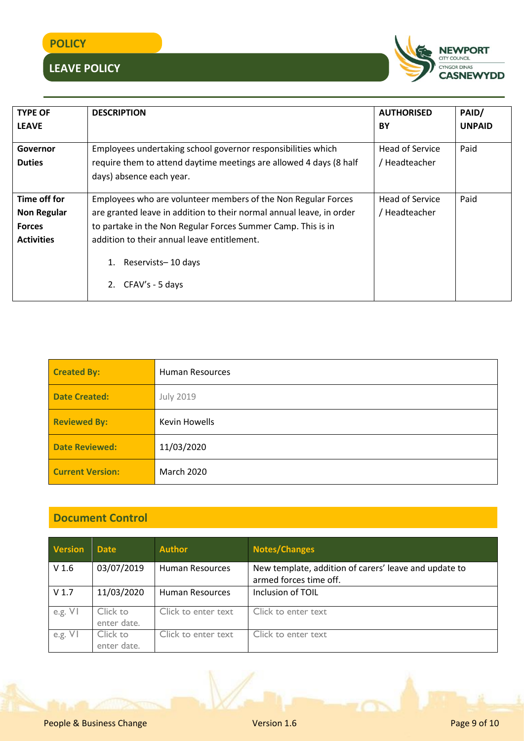## **POLICY**

# **LEAVE POLICY**



| <b>TYPE OF</b>     | <b>DESCRIPTION</b>                                                                       | <b>AUTHORISED</b> | PAID/         |  |
|--------------------|------------------------------------------------------------------------------------------|-------------------|---------------|--|
| <b>LEAVE</b>       |                                                                                          | BY                | <b>UNPAID</b> |  |
| Governor           | Employees undertaking school governor responsibilities which                             | Head of Service   | Paid          |  |
| <b>Duties</b>      | require them to attend daytime meetings are allowed 4 days (8 half                       | / Headteacher     |               |  |
|                    | days) absence each year.                                                                 |                   |               |  |
|                    |                                                                                          |                   |               |  |
| Time off for       | Paid<br>Employees who are volunteer members of the Non Regular Forces<br>Head of Service |                   |               |  |
| <b>Non Regular</b> | are granted leave in addition to their normal annual leave, in order<br>/ Headteacher    |                   |               |  |
| <b>Forces</b>      | to partake in the Non Regular Forces Summer Camp. This is in                             |                   |               |  |
| <b>Activities</b>  | addition to their annual leave entitlement.                                              |                   |               |  |
|                    | Reservists-10 days<br>1.<br>CFAV's - 5 days<br>2.                                        |                   |               |  |

| <b>Created By:</b>      | <b>Human Resources</b> |
|-------------------------|------------------------|
| <b>Date Created:</b>    | <b>July 2019</b>       |
| <b>Reviewed By:</b>     | <b>Kevin Howells</b>   |
| <b>Date Reviewed:</b>   | 11/03/2020             |
| <b>Current Version:</b> | March 2020             |

## **Document Control**

| <b>Version</b>   | <b>Date</b>             | <b>Author</b>       | <b>Notes/Changes</b>                                                            |
|------------------|-------------------------|---------------------|---------------------------------------------------------------------------------|
| V <sub>1.6</sub> | 03/07/2019              | Human Resources     | New template, addition of carers' leave and update to<br>armed forces time off. |
| V <sub>1.7</sub> | 11/03/2020              | Human Resources     | Inclusion of TOIL                                                               |
| e.g. $VI$        | Click to<br>enter date. | Click to enter text | Click to enter text                                                             |
| e.g. $VI$        | Click to<br>enter date. | Click to enter text | Click to enter text                                                             |